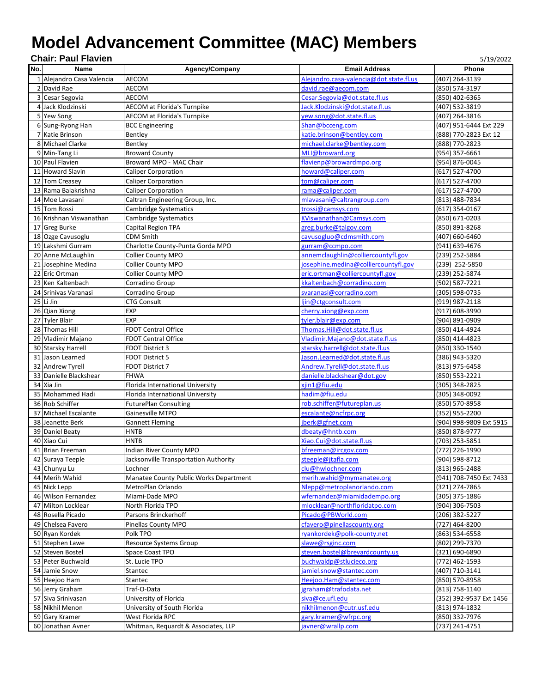## **Model Advancement Committee (MAC) Members**

|     | <b>Chair: Paul Flavien</b><br>5/19/2022 |                                        |                                         |                         |  |  |  |
|-----|-----------------------------------------|----------------------------------------|-----------------------------------------|-------------------------|--|--|--|
| No. | Name                                    | Agency/Company                         | <b>Email Address</b>                    | Phone                   |  |  |  |
|     | 1 Alejandro Casa Valencia               | <b>AECOM</b>                           | Alejandro.casa-valencia@dot.state.fl.us | (407) 264-3139          |  |  |  |
|     | 2 David Rae                             | AECOM                                  | david.rae@aecom.com                     | (850) 574-3197          |  |  |  |
|     | 3 Cesar Segovia                         | AECOM                                  | Cesar.Segovia@dot.state.fl.us           | (850) 402-6365          |  |  |  |
|     | 4 Jack Klodzinski                       | <b>AECOM</b> at Florida's Turnpike     | Jack.Klodzinski@dot.state.fl.us         | (407) 532-3819          |  |  |  |
|     | 5 Yew Song                              | <b>AECOM at Florida's Turnpike</b>     | yew.song@dot.state.fl.us                | (407) 264-3816          |  |  |  |
|     | 6 Sung-Ryong Han                        | <b>BCC Engineering</b>                 | Shan@bcceng.com                         | (407) 951-6444 Ext 229  |  |  |  |
|     | 7 Katie Brinson                         | Bentley                                | katie.brinson@bentley.com               | (888) 770-2823 Ext 12   |  |  |  |
|     | 8 Michael Clarke                        | Bentley                                | michael.clarke@bentley.com              | (888) 770-2823          |  |  |  |
|     | 9 Min-Tang Li                           | <b>Broward County</b>                  | MLI@broward.org                         | (954) 357-6661          |  |  |  |
|     | 10 Paul Flavien                         | Broward MPO - MAC Chair                | flavienp@browardmpo.org                 | (954) 876-0045          |  |  |  |
|     | 11 Howard Slavin                        | <b>Caliper Corporation</b>             | howard@caliper.com                      | (617) 527-4700          |  |  |  |
|     | 12 Tom Creasey                          |                                        | tom@caliper.com                         | (617) 527-4700          |  |  |  |
|     |                                         | <b>Caliper Corporation</b>             |                                         |                         |  |  |  |
|     | 13 Rama Balakrishna                     | <b>Caliper Corporation</b>             | rama@caliper.com                        | (617) 527-4700          |  |  |  |
|     | 14 Moe Lavasani                         | Caltran Engineering Group, Inc.        | mlavasani@caltrangroup.com              | (813) 488-7834          |  |  |  |
|     | 15 Tom Rossi                            | Cambridge Systematics                  | trossi@camsys.com                       | (617) 354-0167          |  |  |  |
|     | 16 Krishnan Viswanathan                 | Cambridge Systematics                  | KViswanathan@Camsys.com                 | (850) 671-0203          |  |  |  |
|     | 17 Greg Burke                           | Capital Region TPA                     | greg.burke@talgov.com                   | (850) 891-8268          |  |  |  |
|     | 18 Ozge Cavusoglu                       | <b>CDM Smith</b>                       | cavusogluo@cdmsmith.com                 | (407) 660-6460          |  |  |  |
|     | 19 Lakshmi Gurram                       | Charlotte County-Punta Gorda MPO       | gurram@ccmpo.com                        | (941) 639-4676          |  |  |  |
|     | 20 Anne McLaughlin                      | Collier County MPO                     | annemclaughlin@colliercountyfl.gov      | (239) 252-5884          |  |  |  |
|     | 21 Josephine Medina                     | <b>Collier County MPO</b>              | josephine.medina@colliercountyfl.gov    | (239) 252-5850          |  |  |  |
|     | 22 Eric Ortman                          | <b>Collier County MPO</b>              | eric.ortman@colliercountyfl.gov         | (239) 252-5874          |  |  |  |
|     | 23 Ken Kaltenbach                       | Corradino Group                        | kkaltenbach@corradino.com               | (502) 587-7221          |  |  |  |
|     | 24 Srinivas Varanasi                    | Corradino Group                        | svaranasi@corradino.com                 | (305) 598-0735          |  |  |  |
|     | $25$ Li Jin                             | <b>CTG Consult</b>                     | liin@ctgconsult.com                     | (919) 987-2118          |  |  |  |
|     | 26 Qian Xiong                           | <b>EXP</b>                             | cherry.xiong@exp.com                    | (917) 608-3990          |  |  |  |
|     | 27 Tyler Blair                          | <b>EXP</b>                             | tyler.blair@exp.com                     | (904) 891-0909          |  |  |  |
|     | 28 Thomas Hill                          | <b>FDOT Central Office</b>             | Thomas.Hill@dot.state.fl.us             | (850) 414-4924          |  |  |  |
|     | 29 Vladimir Majano                      | <b>FDOT Central Office</b>             | Vladimir.Majano@dot.state.fl.us         | (850) 414-4823          |  |  |  |
|     | 30 Starsky Harrell                      | <b>FDOT District 3</b>                 | starsky.harrell@dot.state.fl.us         | (850) 330-1540          |  |  |  |
|     | 31 Jason Learned                        | <b>FDOT District 5</b>                 | Jason.Learned@dot.state.fl.us           | (386) 943-5320          |  |  |  |
|     | 32 Andrew Tyrell                        | FDOT District 7                        | Andrew.Tyrell@dot.state.fl.us           | (813) 975-6458          |  |  |  |
|     | 33 Danielle Blackshear                  | <b>FHWA</b>                            | danielle.blackshear@dot.gov             | (850) 553-2221          |  |  |  |
|     | 34 Xia Jin                              | Florida International University       | xjin1@fiu.edu                           | $(305)$ 348-2825        |  |  |  |
|     | 35 Mohammed Hadi                        | Florida International University       | hadim@fiu.edu                           | (305) 348-0092          |  |  |  |
|     | 36 Rob Schiffer                         | <b>FuturePlan Consulting</b>           | rob.schiffer@futureplan.us              | (850) 570-8958          |  |  |  |
|     | 37 Michael Escalante                    | Gainesville MTPO                       | escalante@ncfrpc.org                    | (352) 955-2200          |  |  |  |
|     | 38 Jeanette Berk                        | <b>Gannett Fleming</b>                 | jberk@gfnet.com                         | (904) 998-9809 Ext 5915 |  |  |  |
| 39  | Daniel Beaty                            | HNTB                                   | dbeaty@hntb.com                         | (850) 878-9777          |  |  |  |
| 40  | Xiao Cui                                | <b>HNTB</b>                            | Xiao.Cui@dot.state.fl.us                | (703) 253-5851          |  |  |  |
|     | 41 Brian Freeman                        | Indian River County MPO                | bfreeman@ircgov.com                     | (772) 226-1990          |  |  |  |
|     | 42 Suraya Teeple                        | Jacksonville Transportation Authority  | steeple@jtafla.com                      | (904) 598-8712          |  |  |  |
|     | 43 Chunyu Lu                            | Lochner                                | clu@hwlochner.com                       | (813) 965-2488          |  |  |  |
|     | 44 Merih Wahid                          | Manatee County Public Works Department | merih.wahid@mymanatee.org               | (941) 708-7450 Ext 7433 |  |  |  |
|     | 45 Nick Lepp                            | MetroPlan Orlando                      | Nlepp@metroplanorlando.com              | (321) 274-7865          |  |  |  |
|     | 46 Wilson Fernandez                     | Miami-Dade MPO                         | wfernandez@miamidadempo.org             | (305) 375-1886          |  |  |  |
|     | 47 Milton Locklear                      | North Florida TPO                      | mlocklear@northfloridatpo.com           | (904) 306-7503          |  |  |  |
|     | 48 Rosella Picado                       | Parsons Brinckerhoff                   | Picado@PBWorld.com                      | (206) 382-5227          |  |  |  |
|     | 49 Chelsea Favero                       | Pinellas County MPO                    | cfavero@pinellascounty.org              | (727) 464-8200          |  |  |  |
|     | 50 Ryan Kordek                          | Polk TPO                               | ryankordek@polk-county.net              |                         |  |  |  |
|     | 51 Stephen Lawe                         |                                        | slawe@rsginc.com                        | (863) 534-6558          |  |  |  |
|     |                                         | Resource Systems Group                 |                                         | (802) 299-7370          |  |  |  |
|     | 52 Steven Bostel                        | Space Coast TPO                        | steven.bostel@brevardcounty.us          | (321) 690-6890          |  |  |  |
|     | 53 Peter Buchwald                       | St. Lucie TPO                          | buchwaldp@stlucieco.org                 | (772) 462-1593          |  |  |  |
|     | 54 Jamie Snow                           | Stantec                                | amiel.snow@stantec.com                  | (407) 710-3141          |  |  |  |
|     | 55 Heejoo Ham                           | Stantec                                | Heejoo.Ham@stantec.com                  | (850) 570-8958          |  |  |  |
|     | 56 Jerry Graham                         | Traf-O-Data                            | jgraham@trafodata.net                   | (813) 758-1140          |  |  |  |
|     | 57 Siva Srinivasan                      | University of Florida                  | siva@ce.ufl.edu                         | (352) 392-9537 Ext 1456 |  |  |  |
|     | 58 Nikhil Menon                         | University of South Florida            | nikhilmenon@cutr.usf.edu                | (813) 974-1832          |  |  |  |
|     | 59 Gary Kramer                          | West Florida RPC                       | <u>gary.kramer@wfrpc.org</u>            | (850) 332-7976          |  |  |  |
|     | 60 Jonathan Avner                       | Whitman, Requardt & Associates, LLP    | javner@wrallp.com                       | (737) 241-4751          |  |  |  |